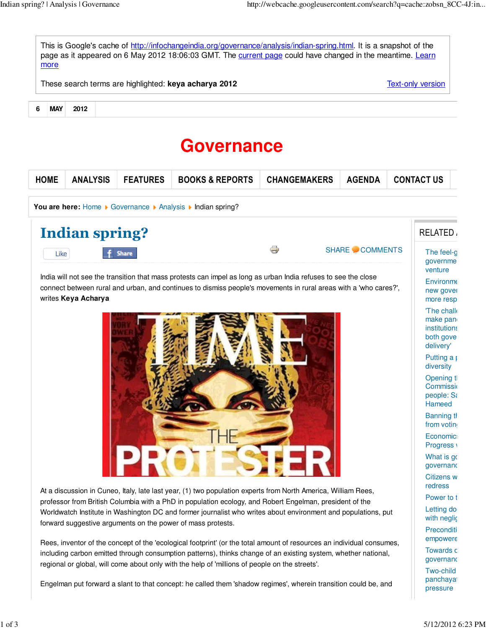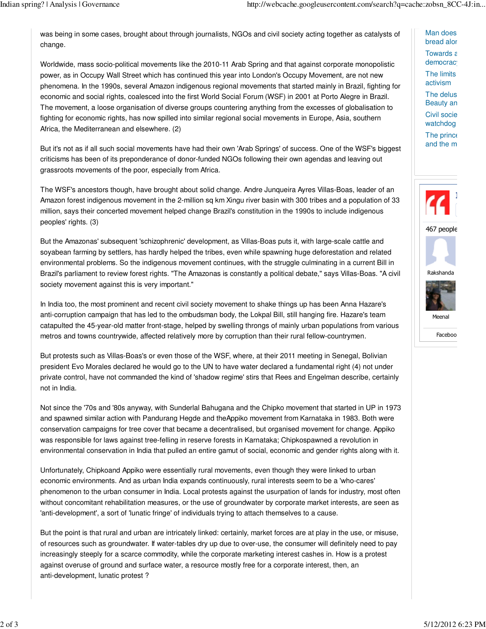was being in some cases, brought about through journalists, NGOs and civil society acting together as catalysts of change.

Worldwide, mass socio-political movements like the 2010-11 Arab Spring and that against corporate monopolistic power, as in Occupy Wall Street which has continued this year into London's Occupy Movement, are not new phenomena. In the 1990s, several Amazon indigenous regional movements that started mainly in Brazil, fighting for economic and social rights, coalesced into the first World Social Forum (WSF) in 2001 at Porto Alegre in Brazil. The movement, a loose organisation of diverse groups countering anything from the excesses of globalisation to fighting for economic rights, has now spilled into similar regional social movements in Europe, Asia, southern Africa, the Mediterranean and elsewhere. (2)

But it's not as if all such social movements have had their own 'Arab Springs' of success. One of the WSF's biggest criticisms has been of its preponderance of donor-funded NGOs following their own agendas and leaving out grassroots movements of the poor, especially from Africa.

The WSF's ancestors though, have brought about solid change. Andre Junqueira Ayres Villas-Boas, leader of an Amazon forest indigenous movement in the 2-million sq km Xingu river basin with 300 tribes and a population of 33 million, says their concerted movement helped change Brazil's constitution in the 1990s to include indigenous peoples' rights. (3)

But the Amazonas' subsequent 'schizophrenic' development, as Villas-Boas puts it, with large-scale cattle and soyabean farming by settlers, has hardly helped the tribes, even while spawning huge deforestation and related environmental problems. So the indigenous movement continues, with the struggle culminating in a current Bill in Brazil's parliament to review forest rights. "The Amazonas is constantly a political debate," says Villas-Boas. "A civil society movement against this is very important."

In India too, the most prominent and recent civil society movement to shake things up has been Anna Hazare's anti-corruption campaign that has led to the ombudsman body, the Lokpal Bill, still hanging fire. Hazare's team catapulted the 45-year-old matter front-stage, helped by swelling throngs of mainly urban populations from various metros and towns countrywide, affected relatively more by corruption than their rural fellow-countrymen.

But protests such as Villas-Boas's or even those of the WSF, where, at their 2011 meeting in Senegal, Bolivian president Evo Morales declared he would go to the UN to have water declared a fundamental right (4) not under private control, have not commanded the kind of 'shadow regime' stirs that Rees and Engelman describe, certainly not in India.

Not since the '70s and '80s anyway, with Sunderlal Bahugana and the Chipko movement that started in UP in 1973 and spawned similar action with Pandurang Hegde and theAppiko movement from Karnataka in 1983. Both were conservation campaigns for tree cover that became a decentralised, but organised movement for change. Appiko was responsible for laws against tree-felling in reserve forests in Karnataka; Chipkospawned a revolution in environmental conservation in India that pulled an entire gamut of social, economic and gender rights along with it.

Unfortunately, Chipkoand Appiko were essentially rural movements, even though they were linked to urban economic environments. And as urban India expands continuously, rural interests seem to be a 'who-cares' phenomenon to the urban consumer in India. Local protests against the usurpation of lands for industry, most often without concomitant rehabilitation measures, or the use of groundwater by corporate market interests, are seen as 'anti-development', a sort of 'lunatic fringe' of individuals trying to attach themselves to a cause.

But the point is that rural and urban are intricately linked: certainly, market forces are at play in the use, or misuse, of resources such as groundwater. If water-tables dry up due to over-use, the consumer will definitely need to pay increasingly steeply for a scarce commodity, while the corporate marketing interest cashes in. How is a protest against overuse of ground and surface water, a resource mostly free for a corporate interest, then, an anti-development, lunatic protest ?

Man does bread alor Towards  $\varepsilon$ democrac<sup>®</sup>

The limits activism

The delus Beauty an Civil socie watchdog The princ $\varepsilon$ and the m



Faceboo